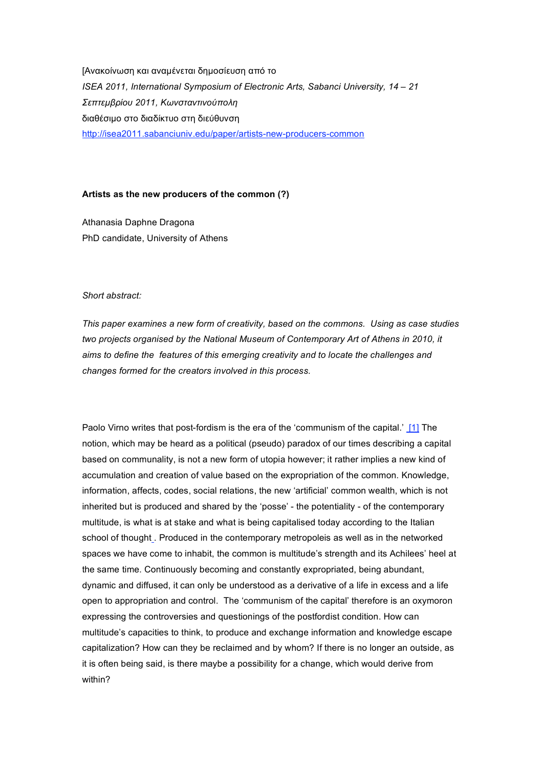[Ανακοίνωση και αναµένεται δηµοσίευση από το *ISEA 2011, International Symposium of Electronic Arts, Sabanci University, 14 – 21 Σεπτεµβρίου 2011, Kωνσταντινούπολη* διαθέσιµο στο διαδίκτυο στη διεύθυνση http://isea2011.sabanciuniv.edu/paper/artists-new-producers-common

# **Artists as the new producers of the common (?)**

Athanasia Daphne Dragona PhD candidate, University of Athens

# *Short abstract:*

*This paper examines a new form of creativity, based on the commons. Using as case studies two projects organised by the National Museum of Contemporary Art of Athens in 2010, it aims to define the features of this emerging creativity and to locate the challenges and changes formed for the creators involved in this process.*

Paolo Virno writes that post-fordism is the era of the 'communism of the capital.' [1] The notion, which may be heard as a political (pseudo) paradox of our times describing a capital based on communality, is not a new form of utopia however; it rather implies a new kind of accumulation and creation of value based on the expropriation of the common. Knowledge, information, affects, codes, social relations, the new 'artificial' common wealth, which is not inherited but is produced and shared by the 'posse' - the potentiality - of the contemporary multitude, is what is at stake and what is being capitalised today according to the Italian school of thought . Produced in the contemporary metropoleis as well as in the networked spaces we have come to inhabit, the common is multitude's strength and its Achilees' heel at the same time. Continuously becoming and constantly expropriated, being abundant, dynamic and diffused, it can only be understood as a derivative of a life in excess and a life open to appropriation and control. The 'communism of the capital' therefore is an oxymoron expressing the controversies and questionings of the postfordist condition. How can multitude's capacities to think, to produce and exchange information and knowledge escape capitalization? How can they be reclaimed and by whom? If there is no longer an outside, as it is often being said, is there maybe a possibility for a change, which would derive from within?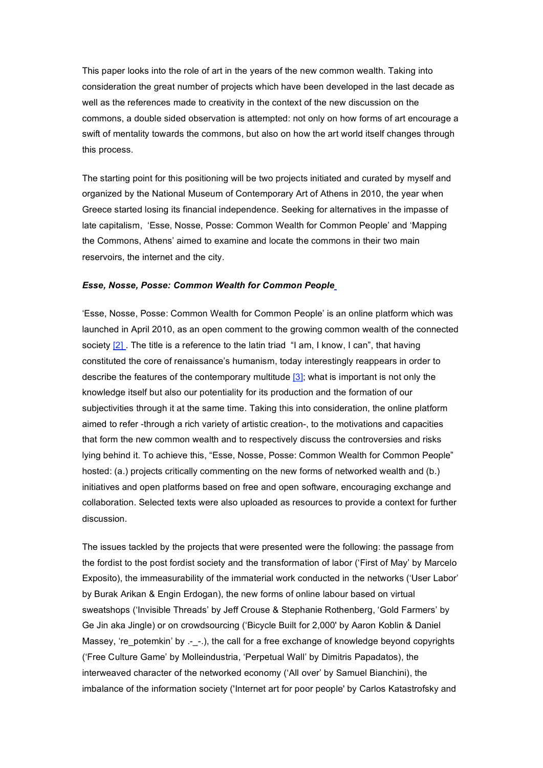This paper looks into the role of art in the years of the new common wealth. Taking into consideration the great number of projects which have been developed in the last decade as well as the references made to creativity in the context of the new discussion on the commons, a double sided observation is attempted: not only on how forms of art encourage a swift of mentality towards the commons, but also on how the art world itself changes through this process.

The starting point for this positioning will be two projects initiated and curated by myself and organized by the National Museum of Contemporary Art of Athens in 2010, the year when Greece started losing its financial independence. Seeking for alternatives in the impasse of late capitalism, 'Esse, Νosse, Posse: Common Wealth for Common People' and 'Mapping the Commons, Athens' aimed to examine and locate the commons in their two main reservoirs, the internet and the city.

## *Esse, Nosse, Posse: Common Wealth for Common People*

'Esse, Nosse, Posse: Common Wealth for Common People' is an online platform which was launched in April 2010, as an open comment to the growing common wealth of the connected society [2]. The title is a reference to the latin triad "I am, I know, I can", that having constituted the core of renaissance's humanism, today interestingly reappears in order to describe the features of the contemporary multitude [3]; what is important is not only the knowledge itself but also our potentiality for its production and the formation of our subjectivities through it at the same time. Taking this into consideration, the online platform aimed to refer -through a rich variety of artistic creation-, to the motivations and capacities that form the new common wealth and to respectively discuss the controversies and risks lying behind it. To achieve this, "Esse, Nosse, Posse: Common Wealth for Common People" hosted: (a.) projects critically commenting on the new forms of networked wealth and (b.) initiatives and open platforms based on free and open software, encouraging exchange and collaboration. Selected texts were also uploaded as resources to provide a context for further discussion.

The issues tackled by the projects that were presented were the following: the passage from the fordist to the post fordist society and the transformation of labor ('First of May' by Marcelo Exposito), the immeasurability of the immaterial work conducted in the networks ('User Labor' by Burak Arikan & Engin Erdogan), the new forms of online labour based on virtual sweatshops ('Invisible Threads' by Jeff Crouse & Stephanie Rothenberg, 'Gold Farmers' by Ge Jin aka Jingle) or on crowdsourcing ('Bicycle Built for 2,000' by Aaron Koblin & Daniel Massey, 're\_potemkin' by .- -.), the call for a free exchange of knowledge beyond copyrights ('Free Culture Game' by Molleindustria, 'Perpetual Wall' by Dimitris Papadatos), the interweaved character of the networked economy ('All over' by Samuel Bianchini), the imbalance of the information society ('Internet art for poor people' by Carlos Katastrofsky and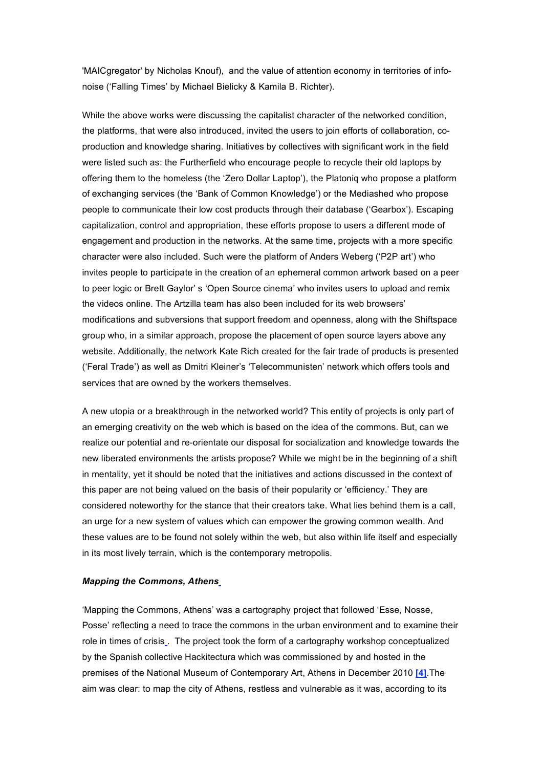'MAICgregator' by Nicholas Knouf), and the value of attention economy in territories of infonoise ('Falling Times' by Michael Bielicky & Kamila B. Richter).

While the above works were discussing the capitalist character of the networked condition, the platforms, that were also introduced, invited the users to join efforts of collaboration, coproduction and knowledge sharing. Initiatives by collectives with significant work in the field were listed such as: the Furtherfield who encourage people to recycle their old laptops by offering them to the homeless (the 'Zero Dollar Laptop'), the Platoniq who propose a platform of exchanging services (the 'Bank of Common Knowledge') or the Mediashed who propose people to communicate their low cost products through their database ('Gearbox'). Escaping capitalization, control and appropriation, these efforts propose to users a different mode of engagement and production in the networks. At the same time, projects with a more specific character were also included. Such were the platform of Anders Weberg ('P2P art') who invites people to participate in the creation of an ephemeral common artwork based on a peer to peer logic or Brett Gaylor' s 'Open Source cinema' who invites users to upload and remix the videos online. The Artzilla team has also been included for its web browsers' modifications and subversions that support freedom and openness, along with the Shiftspace group who, in a similar approach, propose the placement of open source layers above any website. Additionally, the network Kate Rich created for the fair trade of products is presented ('Feral Trade') as well as Dmitri Kleiner's 'Telecommunisten' network which offers tools and services that are owned by the workers themselves.

A new utopia or a breakthrough in the networked world? This entity of projects is only part of an emerging creativity on the web which is based on the idea of the commons. But, can we realize our potential and re-orientate our disposal for socialization and knowledge towards the new liberated environments the artists propose? While we might be in the beginning of a shift in mentality, yet it should be noted that the initiatives and actions discussed in the context of this paper are not being valued on the basis of their popularity or 'efficiency.' They are considered noteworthy for the stance that their creators take. What lies behind them is a call, an urge for a new system of values which can empower the growing common wealth. And these values are to be found not solely within the web, but also within life itself and especially in its most lively terrain, which is the contemporary metropolis.

### *Mapping the Commons, Athens*

'Mapping the Commons, Athens' was a cartography project that followed 'Esse, Nosse, Posse' reflecting a need to trace the commons in the urban environment and to examine their role in times of crisis . The project took the form of a cartography workshop conceptualized by the Spanish collective Hackitectura which was commissioned by and hosted in the premises of the National Museum of Contemporary Art, Athens in December 2010 **[4]**.The aim was clear: to map the city of Athens, restless and vulnerable as it was, according to its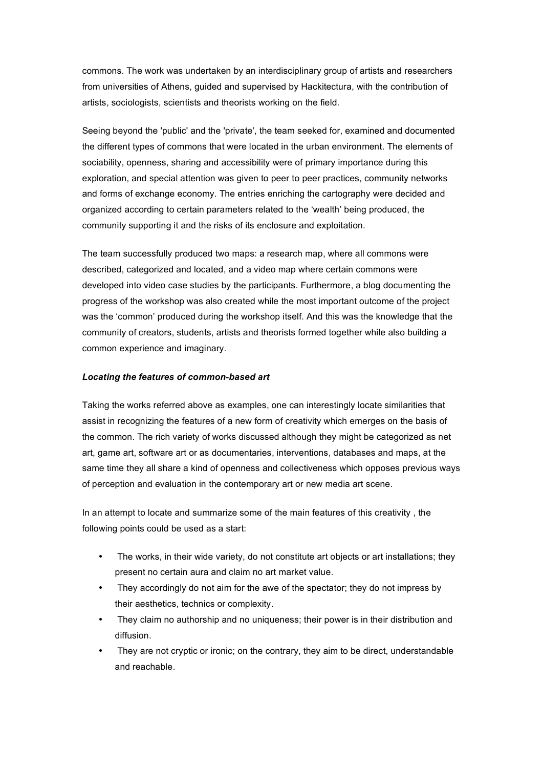commons. The work was undertaken by an interdisciplinary group of artists and researchers from universities of Athens, guided and supervised by Hackitectura, with the contribution of artists, sociologists, scientists and theorists working on the field.

Seeing beyond the 'public' and the 'private', the team seeked for, examined and documented the different types of commons that were located in the urban environment. The elements of sociability, openness, sharing and accessibility were of primary importance during this exploration, and special attention was given to peer to peer practices, community networks and forms of exchange economy. The entries enriching the cartography were decided and organized according to certain parameters related to the 'wealth' being produced, the community supporting it and the risks of its enclosure and exploitation.

The team successfully produced two maps: a research map, where all commons were described, categorized and located, and a video map where certain commons were developed into video case studies by the participants. Furthermore, a blog documenting the progress of the workshop was also created while the most important outcome of the project was the 'common' produced during the workshop itself. And this was the knowledge that the community of creators, students, artists and theorists formed together while also building a common experience and imaginary.

## *Locating the features of common-based art*

Taking the works referred above as examples, one can interestingly locate similarities that assist in recognizing the features of a new form of creativity which emerges on the basis of the common. The rich variety of works discussed although they might be categorized as net art, game art, software art or as documentaries, interventions, databases and maps, at the same time they all share a kind of openness and collectiveness which opposes previous ways of perception and evaluation in the contemporary art or new media art scene.

In an attempt to locate and summarize some of the main features of this creativity , the following points could be used as a start:

- The works, in their wide variety, do not constitute art objects or art installations; they present no certain aura and claim no art market value.
- They accordingly do not aim for the awe of the spectator; they do not impress by their aesthetics, technics or complexity.
- They claim no authorship and no uniqueness; their power is in their distribution and diffusion.
- They are not cryptic or ironic; on the contrary, they aim to be direct, understandable and reachable.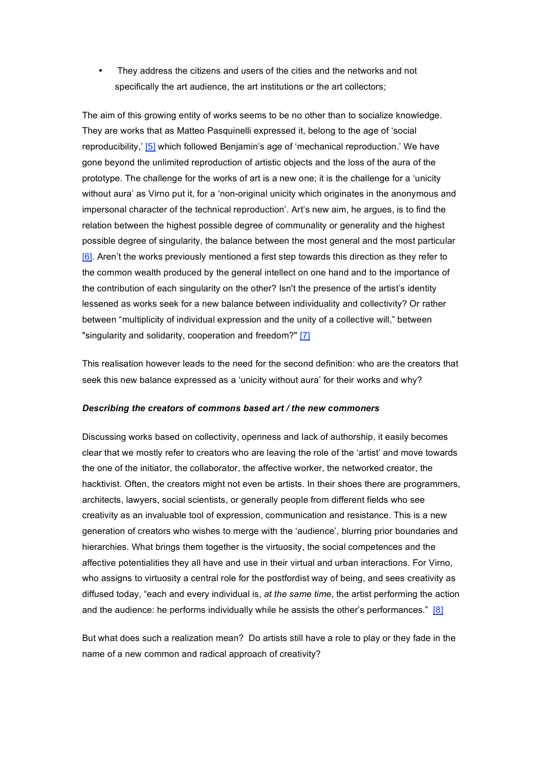They address the citizens and users of the cities and the networks and not specifically the art audience, the art institutions or the art collectors;

The aim of this growing entity of works seems to be no other than to socialize knowledge. They are works that as Matteo Pasquinelli expressed it, belong to the age of 'social reproducibility,' [5] which followed Benjamin's age of 'mechanical reproduction.' We have gone beyond the unlimited reproduction of artistic objects and the loss of the aura of the prototype. The challenge for the works of art is a new one; it is the challenge for a 'unicity without aura' as Virno put it, for a 'non-original unicity which originates in the anonymous and impersonal character of the technical reproduction'. Art's new aim, he argues, is to find the relation between the highest possible degree of communality or generality and the highest possible degree of singularity, the balance between the most general and the most particular [6]. Aren't the works previously mentioned a first step towards this direction as they refer to the common wealth produced by the general intellect on one hand and to the importance of the contribution of each singularity on the other? Isn't the presence of the artist's identity lessened as works seek for a new balance between individuality and collectivity? Or rather between "multiplicity of individual expression and the unity of a collective will," between "singularity and solidarity, cooperation and freedom?" [7]

This realisation however leads to the need for the second definition: who are the creators that seek this new balance expressed as a 'unicity without aura' for their works and why?

#### *Describing the creators of commons based art / the new commoners*

Discussing works based on collectivity, openness and lack of authorship, it easily becomes clear that we mostly refer to creators who are leaving the role of the 'artist' and move towards the one of the initiator, the collaborator, the affective worker, the networked creator, the hacktivist. Often, the creators might not even be artists. In their shoes there are programmers, architects, lawyers, social scientists, or generally people from different fields who see creativity as an invaluable tool of expression, communication and resistance. This is a new generation of creators who wishes to merge with the 'audience', blurring prior boundaries and hierarchies. What brings them together is the virtuosity, the social competences and the affective potentialities they all have and use in their virtual and urban interactions. For Virno, who assigns to virtuosity a central role for the postfordist way of being, and sees creativity as diffused today, "each and every individual is, *at the same time*, the artist performing the action and the audience: he performs individually while he assists the other's performances."  $[8]$ 

But what does such a realization mean? Do artists still have a role to play or they fade in the name of a new common and radical approach of creativity?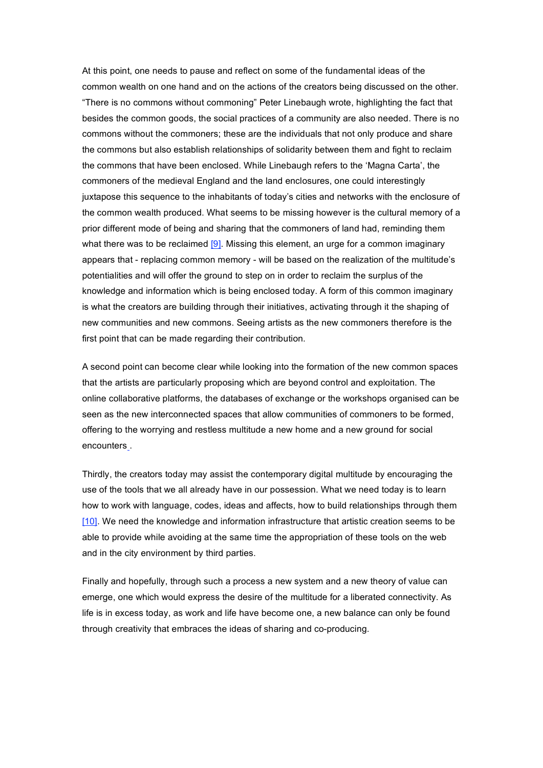At this point, one needs to pause and reflect on some of the fundamental ideas of the common wealth on one hand and on the actions of the creators being discussed on the other. "There is no commons without commoning" Peter Linebaugh wrote, highlighting the fact that besides the common goods, the social practices of a community are also needed. There is no commons without the commoners; these are the individuals that not only produce and share the commons but also establish relationships of solidarity between them and fight to reclaim the commons that have been enclosed. While Linebaugh refers to the 'Magna Carta', the commoners of the medieval England and the land enclosures, one could interestingly juxtapose this sequence to the inhabitants of today's cities and networks with the enclosure of the common wealth produced. What seems to be missing however is the cultural memory of a prior different mode of being and sharing that the commoners of land had, reminding them what there was to be reclaimed [9]. Missing this element, an urge for a common imaginary appears that - replacing common memory - will be based on the realization of the multitude's potentialities and will offer the ground to step on in order to reclaim the surplus of the knowledge and information which is being enclosed today. A form of this common imaginary is what the creators are building through their initiatives, activating through it the shaping of new communities and new commons. Seeing artists as the new commoners therefore is the first point that can be made regarding their contribution.

A second point can become clear while looking into the formation of the new common spaces that the artists are particularly proposing which are beyond control and exploitation. The online collaborative platforms, the databases of exchange or the workshops organised can be seen as the new interconnected spaces that allow communities of commoners to be formed, offering to the worrying and restless multitude a new home and a new ground for social encounters .

Thirdly, the creators today may assist the contemporary digital multitude by encouraging the use of the tools that we all already have in our possession. What we need today is to learn how to work with language, codes, ideas and affects, how to build relationships through them [10]. We need the knowledge and information infrastructure that artistic creation seems to be able to provide while avoiding at the same time the appropriation of these tools on the web and in the city environment by third parties.

Finally and hopefully, through such a process a new system and a new theory of value can emerge, one which would express the desire of the multitude for a liberated connectivity. As life is in excess today, as work and life have become one, a new balance can only be found through creativity that embraces the ideas of sharing and co-producing.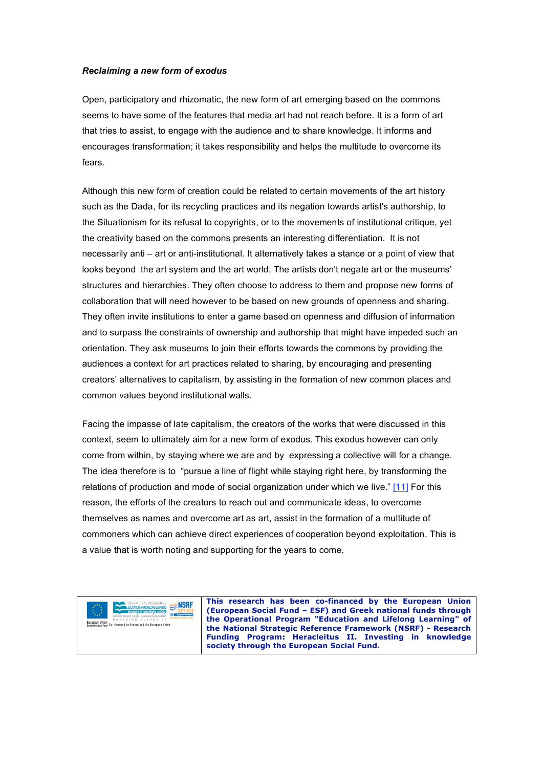# *Reclaiming a new form of exodus*

Open, participatory and rhizomatic, the new form of art emerging based on the commons seems to have some of the features that media art had not reach before. It is a form of art that tries to assist, to engage with the audience and to share knowledge. It informs and encourages transformation; it takes responsibility and helps the multitude to overcome its fears.

Although this new form of creation could be related to certain movements of the art history such as the Dada, for its recycling practices and its negation towards artist's authorship, to the Situationism for its refusal to copyrights, or to the movements of institutional critique, yet the creativity based on the commons presents an interesting differentiation. It is not necessarily anti – art or anti-institutional. It alternatively takes a stance or a point of view that looks beyond the art system and the art world. The artists don't negate art or the museums' structures and hierarchies. They often choose to address to them and propose new forms of collaboration that will need however to be based on new grounds of openness and sharing. They often invite institutions to enter a game based on openness and diffusion of information and to surpass the constraints of ownership and authorship that might have impeded such an orientation. They ask museums to join their efforts towards the commons by providing the audiences a context for art practices related to sharing, by encouraging and presenting creators' alternatives to capitalism, by assisting in the formation of new common places and common values beyond institutional walls.

Facing the impasse of late capitalism, the creators of the works that were discussed in this context, seem to ultimately aim for a new form of exodus. This exodus however can only come from within, by staying where we are and by expressing a collective will for a change. The idea therefore is to "pursue a line of flight while staying right here, by transforming the relations of production and mode of social organization under which we live." [11] For this reason, the efforts of the creators to reach out and communicate ideas, to overcome themselves as names and overcome art as art, assist in the formation of a multitude of commoners which can achieve direct experiences of cooperation beyond exploitation. This is a value that is worth noting and supporting for the years to come.



**This research has been co-financed by the European Union (European Social Fund – ESF) and Greek national funds through the Operational Program "Education and Lifelong Learning" of the National Strategic Reference Framework (NSRF) - Research Funding Program: Heracleitus II. Investing in knowledge society through the European Social Fund.**